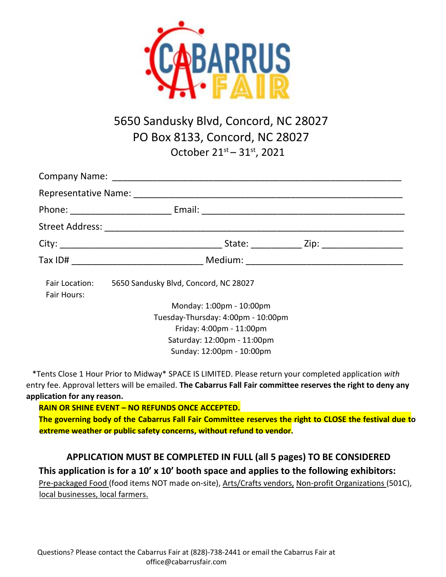

# 5650 Sandusky Blvd, Concord, NC 28027 PO Box 8133, Concord, NC 28027 October 21<sup>st</sup> – 31st, 2021

| Fair Location:<br>Fair Hours: | 5650 Sandusky Blvd, Concord, NC 28027 |
|-------------------------------|---------------------------------------|
|                               | Monday: 1:00pm - 10:00pm              |
|                               | Tuesday-Thursday: 4:00pm - 10:00pm    |
|                               | Friday: 4:00pm - 11:00pm              |
|                               | Saturday: 12:00pm - 11:00pm           |
|                               | Sunday: 12:00pm - 10:00pm             |

 \*Tents Close 1 Hour Prior to Midway\* SPACE IS LIMITED. Please return your completed application *with*  entry fee. Approval letters will be emailed. **The Cabarrus Fall Fair committee reserves the right to deny any application for any reason.**

**RAIN OR SHINE EVENT – NO REFUNDS ONCE ACCEPTED.**

**The governing body of the Cabarrus Fall Fair Committee reserves the right to CLOSE the festival due to extreme weather or public safety concerns, without refund to vendor.**

**APPLICATION MUST BE COMPLETED IN FULL (all 5 pages) TO BE CONSIDERED This application is for a 10' x 10' booth space and applies to the following exhibitors:** Pre-packaged Food (food items NOT made on-site), Arts/Crafts vendors, Non-profit Organizations (501C), local businesses, local farmers.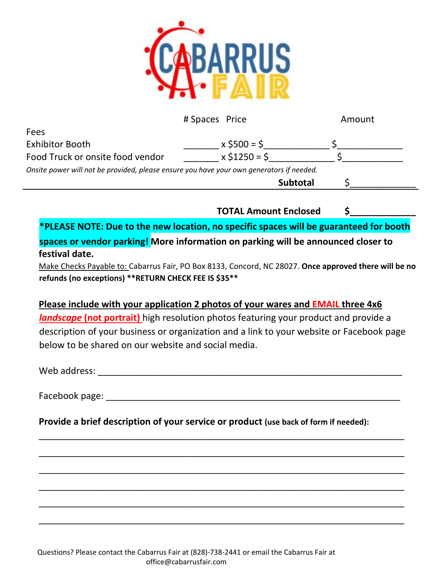

|                                                                                          | # Spaces Price  | Amount |
|------------------------------------------------------------------------------------------|-----------------|--------|
| <b>Fees</b>                                                                              |                 |        |
| Exhibitor Booth                                                                          | $x $500 = $$    |        |
| Food Truck or onsite food vendor                                                         | $x $1250 = $$   |        |
| Onsite power will not be provided, please ensure you have your own generators if needed. |                 |        |
|                                                                                          | <b>Subtotal</b> |        |
|                                                                                          |                 |        |

**TOTAL Amount Enclosed \$\_\_\_\_\_\_\_\_\_\_\_\_\_**

**\*PLEASE NOTE: Due to the new location, no specific spaces will be guaranteed for booth spaces or vendor parking! More information on parking will be announced closer to festival date.**

Make Checks Payable to: Cabarrus Fair, PO Box 8133, Concord, NC 28027. **Once approved there will be no refunds (no exceptions) \*\*RETURN CHECK FEE IS \$35\*\***

**Please include with your application 2 photos of your wares and EMAIL three 4x6**  *landscape* (not portrait) high resolution photos featuring your product and provide a description of your business or organization and a link to your website or Facebook page below to be shared on our website and social media.

Web address: \_\_\_\_\_\_\_\_\_\_\_\_\_\_\_\_\_\_\_\_\_\_\_\_\_\_\_\_\_\_\_\_\_\_\_\_\_\_\_\_\_\_\_\_\_\_\_\_\_\_\_\_\_\_\_\_\_\_\_\_

Facebook page: \_\_\_\_\_\_\_\_\_\_\_\_\_\_\_\_\_\_\_\_\_\_\_\_\_\_\_\_\_\_\_\_\_\_\_\_\_\_\_\_\_\_\_\_\_\_\_\_\_\_\_\_\_\_\_\_\_\_

**Provide a brief description of your service or product (use back of form if needed):**

\_\_\_\_\_\_\_\_\_\_\_\_\_\_\_\_\_\_\_\_\_\_\_\_\_\_\_\_\_\_\_\_\_\_\_\_\_\_\_\_\_\_\_\_\_\_\_\_\_\_\_\_\_\_\_\_\_\_\_\_\_\_\_\_\_\_\_\_\_\_\_\_

\_\_\_\_\_\_\_\_\_\_\_\_\_\_\_\_\_\_\_\_\_\_\_\_\_\_\_\_\_\_\_\_\_\_\_\_\_\_\_\_\_\_\_\_\_\_\_\_\_\_\_\_\_\_\_\_\_\_\_\_\_\_\_\_\_\_\_\_\_\_\_\_

\_\_\_\_\_\_\_\_\_\_\_\_\_\_\_\_\_\_\_\_\_\_\_\_\_\_\_\_\_\_\_\_\_\_\_\_\_\_\_\_\_\_\_\_\_\_\_\_\_\_\_\_\_\_\_\_\_\_\_\_\_\_\_\_\_\_\_\_\_\_\_\_

\_\_\_\_\_\_\_\_\_\_\_\_\_\_\_\_\_\_\_\_\_\_\_\_\_\_\_\_\_\_\_\_\_\_\_\_\_\_\_\_\_\_\_\_\_\_\_\_\_\_\_\_\_\_\_\_\_\_\_\_\_\_\_\_\_\_\_\_\_\_\_\_

\_\_\_\_\_\_\_\_\_\_\_\_\_\_\_\_\_\_\_\_\_\_\_\_\_\_\_\_\_\_\_\_\_\_\_\_\_\_\_\_\_\_\_\_\_\_\_\_\_\_\_\_\_\_\_\_\_\_\_\_\_\_\_\_\_\_\_\_\_\_\_\_

\_\_\_\_\_\_\_\_\_\_\_\_\_\_\_\_\_\_\_\_\_\_\_\_\_\_\_\_\_\_\_\_\_\_\_\_\_\_\_\_\_\_\_\_\_\_\_\_\_\_\_\_\_\_\_\_\_\_\_\_\_\_\_\_\_\_\_\_\_\_\_\_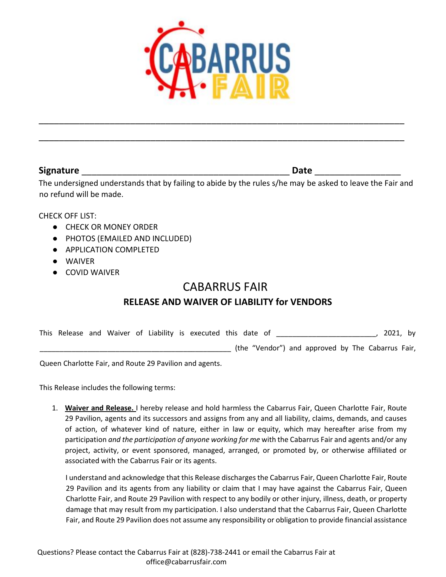

\_\_\_\_\_\_\_\_\_\_\_\_\_\_\_\_\_\_\_\_\_\_\_\_\_\_\_\_\_\_\_\_\_\_\_\_\_\_\_\_\_\_\_\_\_\_\_\_\_\_\_\_\_\_\_\_\_\_\_\_\_\_\_\_\_\_\_\_\_\_\_\_

\_\_\_\_\_\_\_\_\_\_\_\_\_\_\_\_\_\_\_\_\_\_\_\_\_\_\_\_\_\_\_\_\_\_\_\_\_\_\_\_\_\_\_\_\_\_\_\_\_\_\_\_\_\_\_\_\_\_\_\_\_\_\_\_\_\_\_\_\_\_\_\_

#### **Signature** \_\_\_\_\_\_\_\_\_\_\_\_\_\_\_\_\_\_\_\_\_\_\_\_\_\_\_\_\_\_\_\_\_\_\_\_\_\_\_\_\_ **Date** \_\_\_\_\_\_\_\_\_\_\_\_\_\_\_\_\_

The undersigned understands that by failing to abide by the rules s/he may be asked to leave the Fair and no refund will be made.

CHECK OFF LIST:

- CHECK OR MONEY ORDER
- PHOTOS (EMAILED AND INCLUDED)
- APPLICATION COMPLETED
- WAIVER
- COVID WAIVER

### CABARRUS FAIR

#### **RELEASE AND WAIVER OF LIABILITY for VENDORS**

|  |  |  | This Release and Waiver of Liability is executed this date of |  |  |                                                   |  |  | 2021, by |
|--|--|--|---------------------------------------------------------------|--|--|---------------------------------------------------|--|--|----------|
|  |  |  |                                                               |  |  | (the "Vendor") and approved by The Cabarrus Fair, |  |  |          |

Queen Charlotte Fair, and Route 29 Pavilion and agents.

This Release includes the following terms:

1. **Waiver and Release.** I hereby release and hold harmless the Cabarrus Fair, Queen Charlotte Fair, Route 29 Pavilion, agents and its successors and assigns from any and all liability, claims, demands, and causes of action, of whatever kind of nature, either in law or equity, which may hereafter arise from my participation *and the participation of anyone working for me* with the Cabarrus Fair and agents and/or any project, activity, or event sponsored, managed, arranged, or promoted by, or otherwise affiliated or associated with the Cabarrus Fair or its agents.

I understand and acknowledge that this Release discharges the Cabarrus Fair, Queen Charlotte Fair, Route 29 Pavilion and its agents from any liability or claim that I may have against the Cabarrus Fair, Queen Charlotte Fair, and Route 29 Pavilion with respect to any bodily or other injury, illness, death, or property damage that may result from my participation. I also understand that the Cabarrus Fair, Queen Charlotte Fair, and Route 29 Pavilion does not assume any responsibility or obligation to provide financial assistance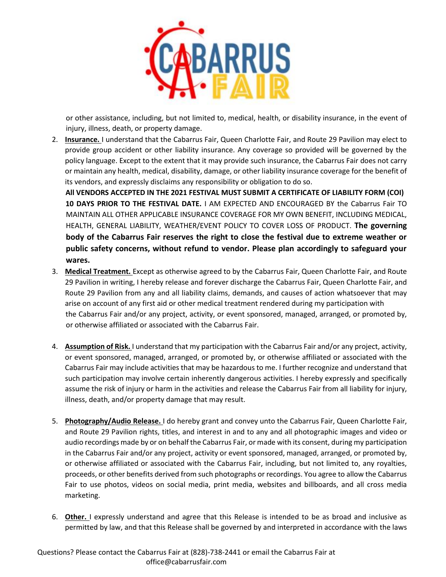

or other assistance, including, but not limited to, medical, health, or disability insurance, in the event of injury, illness, death, or property damage.

2. **Insurance.** I understand that the Cabarrus Fair, Queen Charlotte Fair, and Route 29 Pavilion may elect to provide group accident or other liability insurance. Any coverage so provided will be governed by the policy language. Except to the extent that it may provide such insurance, the Cabarrus Fair does not carry or maintain any health, medical, disability, damage, or other liability insurance coverage for the benefit of its vendors, and expressly disclaims any responsibility or obligation to do so.

**All VENDORS ACCEPTED IN THE 2021 FESTIVAL MUST SUBMIT A CERTIFICATE OF LIABILITY FORM (COI) 10 DAYS PRIOR TO THE FESTIVAL DATE.** I AM EXPECTED AND ENCOURAGED BY the Cabarrus Fair TO MAINTAIN ALL OTHER APPLICABLE INSURANCE COVERAGE FOR MY OWN BENEFIT, INCLUDING MEDICAL, HEALTH, GENERAL LIABILITY, WEATHER/EVENT POLICY TO COVER LOSS OF PRODUCT. **The governing body of the Cabarrus Fair reserves the right to close the festival due to extreme weather or public safety concerns, without refund to vendor. Please plan accordingly to safeguard your wares.**

- 3. **Medical Treatment.** Except as otherwise agreed to by the Cabarrus Fair, Queen Charlotte Fair, and Route 29 Pavilion in writing, I hereby release and forever discharge the Cabarrus Fair, Queen Charlotte Fair, and Route 29 Pavilion from any and all liability claims, demands, and causes of action whatsoever that may arise on account of any first aid or other medical treatment rendered during my participation with the Cabarrus Fair and/or any project, activity, or event sponsored, managed, arranged, or promoted by, or otherwise affiliated or associated with the Cabarrus Fair.
- 4. **Assumption of Risk.** I understand that my participation with the Cabarrus Fair and/or any project, activity, or event sponsored, managed, arranged, or promoted by, or otherwise affiliated or associated with the Cabarrus Fair may include activities that may be hazardous to me. I further recognize and understand that such participation may involve certain inherently dangerous activities. I hereby expressly and specifically assume the risk of injury or harm in the activities and release the Cabarrus Fair from all liability for injury, illness, death, and/or property damage that may result.
- 5. **Photography/Audio Release.** I do hereby grant and convey unto the Cabarrus Fair, Queen Charlotte Fair, and Route 29 Pavilion rights, titles, and interest in and to any and all photographic images and video or audio recordings made by or on behalf the Cabarrus Fair, or made with its consent, during my participation in the Cabarrus Fair and/or any project, activity or event sponsored, managed, arranged, or promoted by, or otherwise affiliated or associated with the Cabarrus Fair, including, but not limited to, any royalties, proceeds, or other benefits derived from such photographs or recordings. You agree to allow the Cabarrus Fair to use photos, videos on social media, print media, websites and billboards, and all cross media marketing.
- 6. **Other.** I expressly understand and agree that this Release is intended to be as broad and inclusive as permitted by law, and that this Release shall be governed by and interpreted in accordance with the laws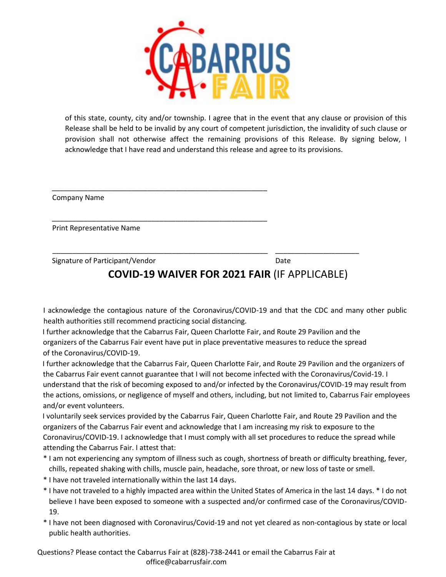

of this state, county, city and/or township. I agree that in the event that any clause or provision of this Release shall be held to be invalid by any court of competent jurisdiction, the invalidity of such clause or provision shall not otherwise affect the remaining provisions of this Release. By signing below, I acknowledge that I have read and understand this release and agree to its provisions.

Company Name

Print Representative Name

Signature of Participant/Vendor Date

\_\_\_\_\_\_\_\_\_\_\_\_\_\_\_\_\_\_\_\_\_\_\_\_\_\_\_\_\_\_\_\_\_\_\_\_\_\_\_\_\_\_\_\_\_\_\_\_\_\_\_\_\_\_

\_\_\_\_\_\_\_\_\_\_\_\_\_\_\_\_\_\_\_\_\_\_\_\_\_\_\_\_\_\_\_\_\_\_\_\_\_\_\_\_\_\_\_\_\_\_\_\_\_\_\_\_\_\_

## **COVID-19 WAIVER FOR 2021 FAIR** (IF APPLICABLE)

I acknowledge the contagious nature of the Coronavirus/COVID-19 and that the CDC and many other public health authorities still recommend practicing social distancing.

I further acknowledge that the Cabarrus Fair, Queen Charlotte Fair, and Route 29 Pavilion and the organizers of the Cabarrus Fair event have put in place preventative measures to reduce the spread of the Coronavirus/COVID-19.

\_\_\_\_\_\_\_\_\_\_\_\_\_\_\_\_\_\_\_\_\_\_\_\_\_\_\_\_\_\_\_\_\_\_\_\_\_\_\_\_\_\_\_\_\_\_\_\_\_\_\_\_\_\_ \_\_\_\_\_\_\_\_\_\_\_\_\_\_\_\_\_\_\_\_\_

I further acknowledge that the Cabarrus Fair, Queen Charlotte Fair, and Route 29 Pavilion and the organizers of the Cabarrus Fair event cannot guarantee that I will not become infected with the Coronavirus/Covid-19. I understand that the risk of becoming exposed to and/or infected by the Coronavirus/COVID-19 may result from the actions, omissions, or negligence of myself and others, including, but not limited to, Cabarrus Fair employees and/or event volunteers.

I voluntarily seek services provided by the Cabarrus Fair, Queen Charlotte Fair, and Route 29 Pavilion and the organizers of the Cabarrus Fair event and acknowledge that I am increasing my risk to exposure to the Coronavirus/COVID-19. I acknowledge that I must comply with all set procedures to reduce the spread while attending the Cabarrus Fair. I attest that:

- \* I am not experiencing any symptom of illness such as cough, shortness of breath or difficulty breathing, fever, chills, repeated shaking with chills, muscle pain, headache, sore throat, or new loss of taste or smell.
- \* I have not traveled internationally within the last 14 days.
- \* I have not traveled to a highly impacted area within the United States of America in the last 14 days. \* I do not believe I have been exposed to someone with a suspected and/or confirmed case of the Coronavirus/COVID-19.
- \* I have not been diagnosed with Coronavirus/Covid-19 and not yet cleared as non-contagious by state or local public health authorities.

Questions? Please contact the Cabarrus Fair at (828)-738-2441 or email the Cabarrus Fair at office@cabarrusfair.com